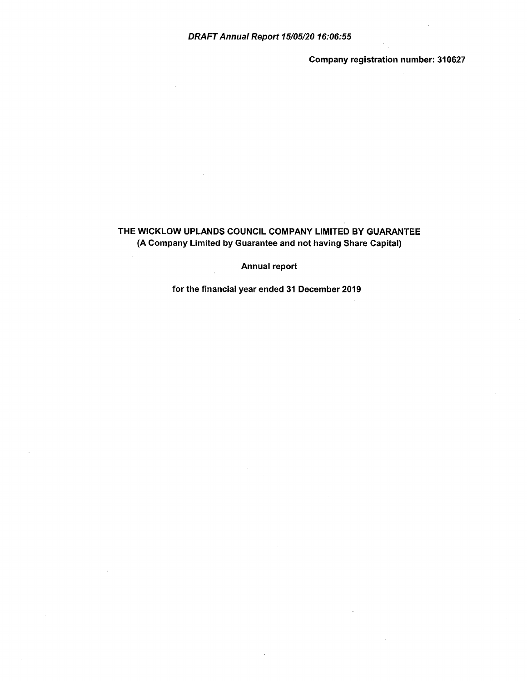Company registration number: 310627

## THE WICKLOW UPLANDS COUNCIL COMPANY LIMITED BY GUARANTEE (A Company Limited by Guarantee and not having Share Capital)

Annual report

for the financial year ended 31 December 2019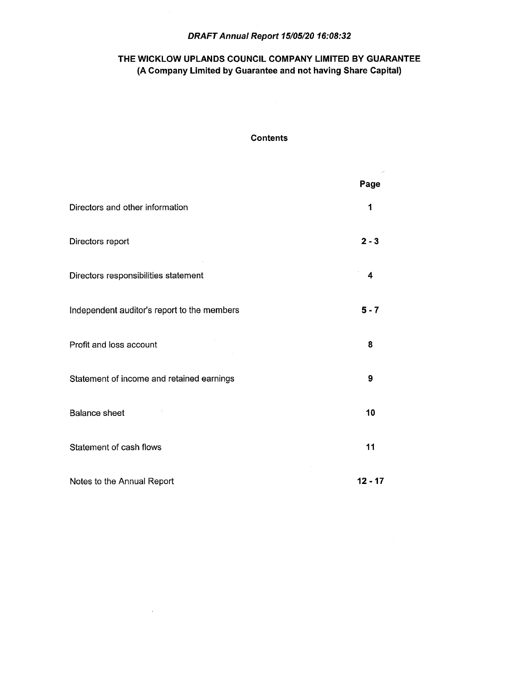## **DRAFT Annual Report 15/05/20 16:08:32**

## **THE WICKLOW UPLANDS COUNCIL COMPANY LIMITED BY GUARANTEE (A Company Limited by Guarantee and not having Share Capital)**

## **Contents**

|                                             | Page      |
|---------------------------------------------|-----------|
| Directors and other information             | 1         |
| Directors report                            | $2 - 3$   |
| Directors responsibilities statement        | 4         |
| Independent auditor's report to the members | $5 - 7$   |
| Profit and loss account                     | 8         |
| Statement of income and retained earnings   | 9         |
| <b>Balance sheet</b>                        | 10        |
| Statement of cash flows                     | 11        |
| Notes to the Annual Report                  | $12 - 17$ |

 $\bar{z}$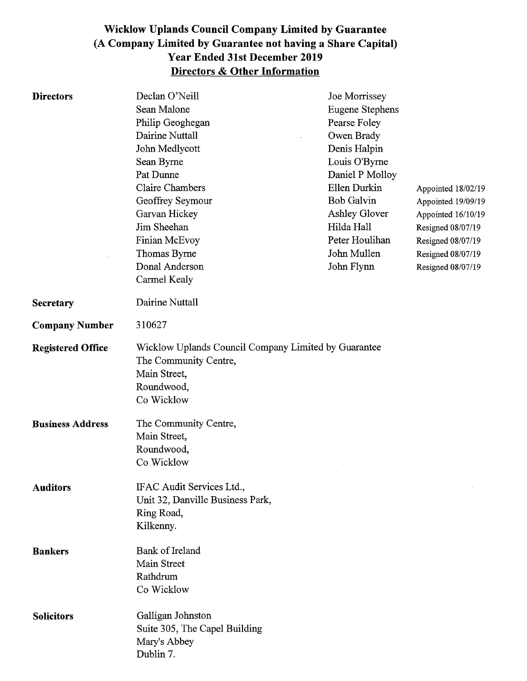# **Wicklow Uplands Council Company Limited by Guarantee (A Company Limited by Guarantee not having a Share Capital) Year Ended 31st December 2019 Directors & Other Information**

| <b>Directors</b>         | Declan O'Neill                                       | Joe Morrissey          |                    |
|--------------------------|------------------------------------------------------|------------------------|--------------------|
|                          | Sean Malone                                          | <b>Eugene Stephens</b> |                    |
|                          | Philip Geoghegan                                     | Pearse Foley           |                    |
|                          | Dairine Nuttall                                      | Owen Brady             |                    |
|                          | John Medlycott                                       | Denis Halpin           |                    |
|                          | Sean Byrne                                           | Louis O'Byrne          |                    |
|                          | Pat Dunne                                            | Daniel P Molloy        |                    |
|                          | <b>Claire Chambers</b>                               | Ellen Durkin           | Appointed 18/02/19 |
|                          | Geoffrey Seymour                                     | <b>Bob Galvin</b>      | Appointed 19/09/19 |
|                          | Garvan Hickey                                        | Ashley Glover          | Appointed 16/10/19 |
|                          | Jim Sheehan                                          | Hilda Hall             | Resigned 08/07/19  |
|                          | Finian McEvoy                                        | Peter Houlihan         | Resigned 08/07/19  |
|                          | Thomas Byrne                                         | John Mullen            | Resigned 08/07/19  |
|                          | Donal Anderson                                       | John Flynn             | Resigned 08/07/19  |
|                          | Carmel Kealy                                         |                        |                    |
| <b>Secretary</b>         | Dairine Nuttall                                      |                        |                    |
| <b>Company Number</b>    | 310627                                               |                        |                    |
| <b>Registered Office</b> | Wicklow Uplands Council Company Limited by Guarantee |                        |                    |
|                          | The Community Centre,                                |                        |                    |
|                          | Main Street,                                         |                        |                    |
|                          | Roundwood,                                           |                        |                    |
|                          | Co Wicklow                                           |                        |                    |
| <b>Business Address</b>  | The Community Centre,                                |                        |                    |
|                          | Main Street,                                         |                        |                    |
|                          | Roundwood,                                           |                        |                    |
|                          | Co Wicklow                                           |                        |                    |
| <b>Auditors</b>          | IFAC Audit Services Ltd.,                            |                        |                    |
|                          | Unit 32, Danville Business Park,                     |                        |                    |
|                          | Ring Road,                                           |                        |                    |
|                          | Kilkenny.                                            |                        |                    |
| <b>Bankers</b>           | <b>Bank of Ireland</b>                               |                        |                    |
|                          | Main Street                                          |                        |                    |
|                          | Rathdrum                                             |                        |                    |
|                          | Co Wicklow                                           |                        |                    |
| <b>Solicitors</b>        | Galligan Johnston                                    |                        |                    |
|                          | Suite 305, The Capel Building                        |                        |                    |
|                          | Mary's Abbey                                         |                        |                    |
|                          | Dublin 7.                                            |                        |                    |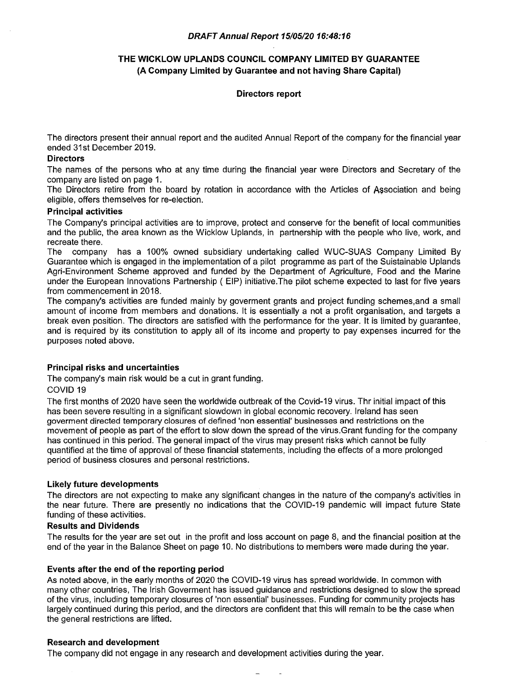## **THE WICKLOW UPLANDS COUNCIL COMPANY LIMITED BY GUARANTEE (A Company Limited by Guarantee and not having Share Capital)**

#### **Directors report**

The directors present their annual report and the audited Annual Report of the company for the financial year ended 31st December 2019.

#### **Directors**

The names of the persons who at any time during the financial year were Directors and Secretary of the company are listed on page 1.

The Directors retire from the board by rotation in accordance with the Articles of Association and being eligible, offers themselves for re-election.

#### **Principal activities**

The Company's principal activities are to improve, protect and conserve for the benefit of local communities and the public, the area known as the Wicklow Uplands, in partnership with the people who live, work, and recreate there.

The company has a 100% owned subsidiary undertaking called WUC-SUAS Company Limited By Guarantee which is engaged in the implementation of a pilot programme as part of the Suistainable Uplands Agri-Environment Scheme approved and funded by the Department of Agriculture, Food and the Marine under the European Innovations Partnership ( EIP) initiative.The pilot scheme expected to last for five years from commencement in 2018.

The company's activities are funded mainly by goverment grants and project funding schemes.and a small amount of income from members and donations. It is essentially a not a profit organisation, and targets a break even position. The directors are satisfied with the performance for the year. It is limited by guarantee, and is required by its constitution to apply all of its income and property to pay expenses incurred for the purposes noted above.

#### **Principal risks and uncertainties**

The company's main risk would be a cut in grant funding.

#### COVID 19

The first months of 2020 have seen the worldwide outbreak of the Covid-19 virus. Thr initial impact of this has been severe resulting in a significant slowdown in global economic recovery. Ireland has seen goverment directed temporary closures of defined 'non essential' businesses and restrictions on the movement of people as part of the effort to slow down the spread of the virus.Grant funding for the company has continued in this period. The general impact of the virus may present risks which cannot be fully quantified at the time of approval of these financial statements, including the effects of a more prolonged period of business closures and personal restrictions.

#### **Likely future developments**

The directors are not expecting to make any significant changes in the nature of the company's activities in the near future. There are presently no indications that the COVID-19 pandemic will impact future State funding of these activities.

#### **Results and Dividends**

The results for the year are set out in the profit and loss account on page 8, and the financial position at the end of the year in the Balance Sheet on page 10. No distributions to members were made during the year.

#### **Events after the end of the reporting period**

As noted above, in the early months of 2020 the COVID-19 virus has spread worldwide. In common with many other countries, The Irish Goverment has issued guidance and restrictions designed to slow the spread of the virus, including temporary closures of 'non essential' businesses. Funding for community projects has largely continued during this period, and the directors are confident that this will remain to be the case when the general restrictions are lifted.

#### **Research and development**

The company did not engage in any research and development activities during the year.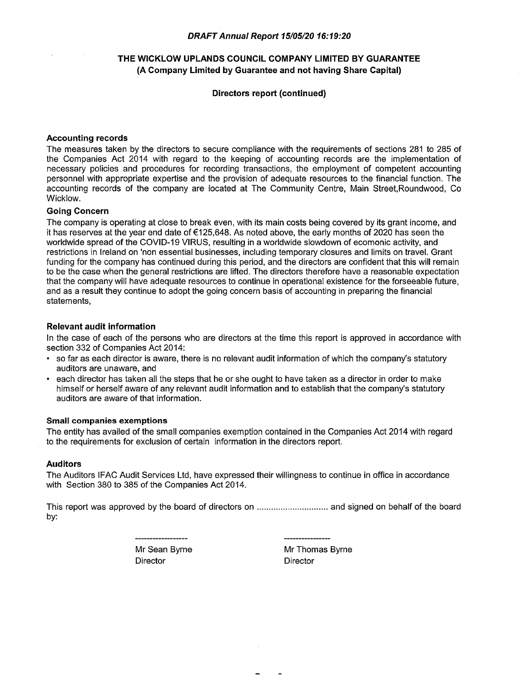### **THE WICKLOW UPLANDS COUNCIL COMPANY LIMITED BY GUARANTEE (A Company Limited by Guarantee and not having Share Capital)**

**Directors report (continued)** 

### **Accounting records**

The measures taken by the directors to secure compliance with the requirements of sections 281 to 285 of the Companies Act 2014 with regard to the keeping of accounting records are the implementation of necessary policies and procedures for recording transactions, the employment of competent accounting personnel with appropriate expertise and the provision of adequate resources to the financial function. The accounting records of the company are located at The Community Centre, Main Street,Roundwood, Co Wicklow.

### **Going Concern**

The company is operating at close to break even, with its main costs being covered by its grant income, and it has reserves at the year end date of €125,648. As noted above, the early months of 2020 has seen the worldwide spread of the COVID-19 VIRUS, resulting in a worldwide slowdown of ecomonic activity, and restrictions in Ireland on 'non essential businesses, including temporary closures and limits on travel. Grant funding for the company has continued during this period, and the directors are confident that this will remain to be the case when the general restrictions are lifted. The directors therefore have a reasonable expectation that the company will have adequate resources to continue in operational existence for the forseeable future, and as a result they continue to adopt the going concern basis of accounting in preparing the financial statements,

#### **Relevant audit information**

In the case of each of the persons who are directors at the time this report is approved in accordance with section 332 of Companies Act 2014:

- so far as each director is aware, there is no relevant audit information of which the company's statutory auditors are unaware, and
- each director has taken all the steps that he or she ought to have taken as a director in order to make himself or herself aware of any relevant audit information and to establish that the company's statutory auditors are aware of that information.

#### **Small companies exemptions**

The entity has availed of the small companies exemption contained in the Companies Act 2014 with regard to the requirements for exclusion of certain information in the directors report.

### **Auditors**

The Auditors IFAC Audit Services Ltd, have expressed their willingness to continue in office in accordance with Section 380 to 385 of the Companies Act 2014.

This report was approved by the board of directors on .............................. and signed on behalf of the board by:

> Mr Sean Byrne **Director**

Mr Thomas Byrne **Director**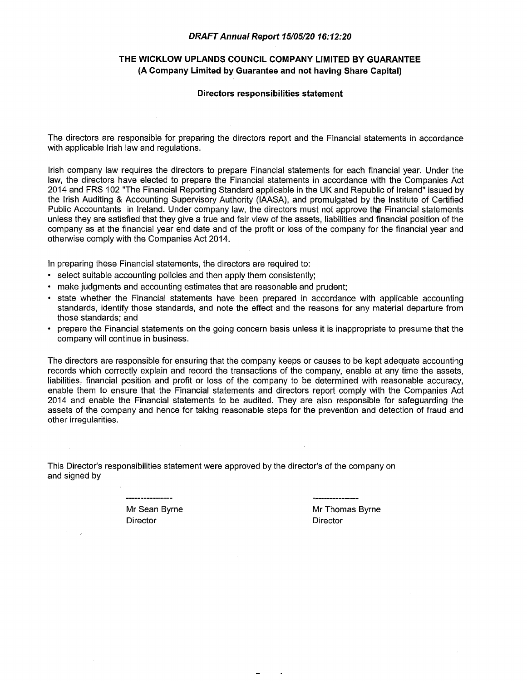#### **DRAFT Annual Report 15/05/20 16:12:20**

### **THE WICKLOW UPLANDS COUNCIL COMPANY LIMITED BY GUARANTEE (A Company Limited by Guarantee and not having Share Capital)**

#### **Directors responsibilities statement**

The directors are responsible for preparing the directors report and the Financial statements in accordance with applicable Irish law and regulations.

Irish company law requires the directors to prepare Financial statements for each financial year. Under the law, the directors have elected to prepare the Financial statements in accordance with the Companies Act 2014 and FRS 102 "The Financial Reporting Standard applicable in the UK and Republic of Ireland" issued by the Irish Auditing & Accounting Supervisory Authority (IAASA), and promulgated by the Institute of Certified Public Accountants in Ireland. Under company law, the directors must not approve **the** Financial statements unless they are satisfied that they give a true and fair view of the assets, liabilities and financial position of the company as at the financial year end date and of the profit or loss of the company for the financial year and otherwise comply with the Companies Act 2014.

In preparing these Financial statements, the directors are required to:

- select suitable accounting policies and then apply them consistently;
- make judgments and accounting estimates that are reasonable and prudent;
- state whether the Financial statements have been prepared in accordance with applicable accounting standards, identify those standards, and note the effect and the reasons for any material departure from those standards; and
- prepare the Financial statements on the going concern basis unless it is inappropriate to presume that the company will continue in business.

The directors are responsible for ensuring that the company keeps or causes to be kept adequate accounting records which correctly explain and record the transactions of the company, enable at any time the assets, liabilities, financial position and profit or loss of the company to be determined with reasonable accuracy, enable them to ensure that the Financial statements and directors report comply with the Companies Act 2014 and enable the Financial statements to be audited. They are also responsible for safeguarding the assets of the company and hence for taking reasonable steps for the prevention and detection of fraud and other irregularities.

This Director's responsibilities statement were approved by the director's of the company on and signed by

> Mr Sean Byrne **Director**

Mr Thomas Byrne **Director**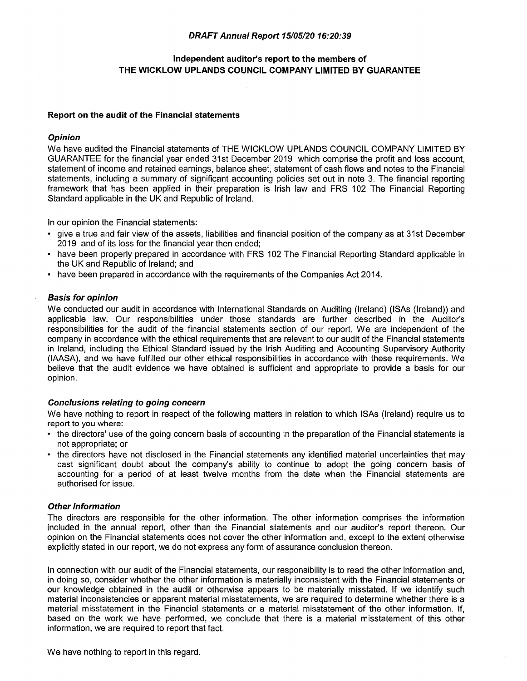### **DRAFT Annual Report 15/05/2016:20:39**

## **Independent auditor's report to the members of THE WICKLOW UPLANDS COUNCIL COMPANY LIMITED BY GUARANTEE**

### **Report on the audit of the Financial statements**

### **Opinion**

We have audited the Financial statements of THE WICKLOW UPLANDS COUNCIL COMPANY LIMITED BY GUARANTEE for the financial year ended 31st December 2019 which comprise the profit and loss account, statement of income and retained earnings, balance sheet, statement of cash flows and notes to the Financial statements, including a summary of significant accounting policies set out in note 3. The financial reporting framework that has been applied in their preparation is Irish law and FRS 102 The Financial Reporting Standard applicable in the UK and Republic of Ireland.

In our opinion the Financial statements:

- give a true and fair view of the assets, liabilities and financial position of the company as at 31st December 2019 and of its loss for the financial year then ended;
- have been properly prepared in accordance with FRS 102 The Financial Reporting Standard applicable in the UK and Republic of Ireland; and
- have been prepared in accordance with the requirements of the Companies Act 2014.

### **Basis for opinion**

We conducted our audit in accordance with International Standards on Auditing (Ireland) (ISAs (Ireland)) and applicable law. Our responsibilities under those standards are further described in the Auditor's responsibilities for the audit of the financial statements section of our report. We are independent of the company in accordance with the ethical requirements that are relevant to our audit of the Financial statements in Ireland, including the Ethical Standard issued by the Irish Auditing and Accounting Supervisory Authority (IMSA), and we have fulfilled our other ethical responsibilities in accordance with these requirements. We believe that the audit evidence we have obtained is sufficient and appropriate to provide a basis for our opinion.

### **Conclusions relating to going concern**

We have nothing to report in respect of the following matters in relation to which ISAs (Ireland) require us to report to you where:

- the directors' use of the going concern basis of accounting in the preparation of the Financial statements is not appropriate; or
- the directors have not disclosed in the Financial statements any identified material uncertainties that may cast significant doubt about the company's ability to continue to adopt the going concern basis of accounting for a period of at least twelve months from the date when the Financial statements are authorised for issue.

### **Other Information**

The directors are responsible for the other information. The other information comprises the information included in the annual report, other than the Financial statements and our auditor's report thereon. Our opinion on the Financial statements does not cover the other information and, except to the extent otherwise explicitly stated in our report, we do not express any form of assurance conclusion thereon.

In connection with our audit of the Financial statements, our responsibility is to read the other information and, in doing so, consider whether the other information is materially inconsistent with the Financial statements or our knowledge obtained in the audit or otherwise appears to be materially misstated. If we identify such material inconsistencies or apparent material misstatements, we are required to determine whether there is a material misstatement in the Financial statements or a material misstatement of the other information. If, based on the work we have performed, we conclude that there is a material misstatement of this other information, we are required to report that fact.

We have nothing to report in this regard.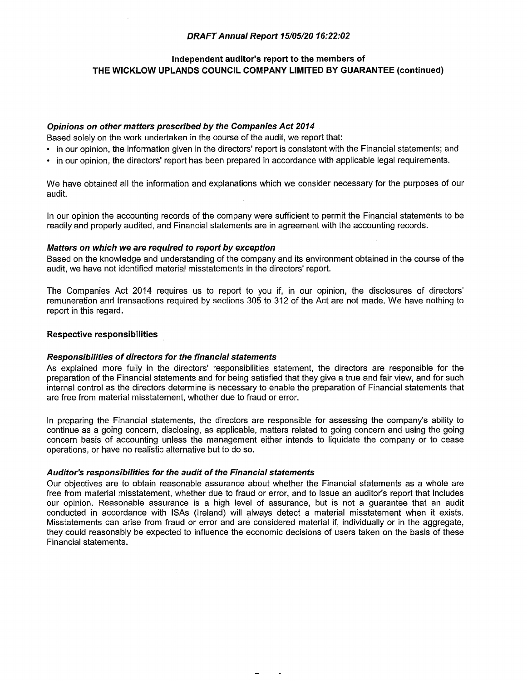### **DRAFT Annual Report 15/05/2016:22:02**

## **Independent auditor's report to the members of THE WICKLOW UPLANDS COUNCIL COMPANY LIMITED BY GUARANTEE (continued)**

#### **Opinions on other matters prescribed by the Companies Act 2014**

Based solely on the work undertaken in the course of the audit, we report that:

- in our opinion, the information given in the directors' report is consistent with the Financial statements; and
- in our opinion, the directors' report has been prepared in accordance with applicable legal requirements.

We have obtained all the information and explanations which we consider necessary for the purposes of our audit.

In our opinion the accounting records of the company were sufficient to permit the Financial statements to be readily and properly audited, and Financial statements are in agreement with the accounting records.

#### **Matters on which we are required to report by exception**

Based on the knowledge and understanding of the company and its environment obtained in the course of the audit, we have not identified material misstatements in the directors' report.

The Companies Act 2014 requires us to report to you if, in our opinion, the disclosures of directors' remuneration and transactions required by sections 305 to 312 of the Act are not made. We have nothing to report in this regard.

#### **Respective responsibilities**

#### **Responsibilities of directors for the financial statements**

As explained more fully in the directors' responsibilities statement, the directors are responsible for the preparation of the Financial statements and for being satisfied that they give a true and fair view, and for such internal control as the directors determine is necessary to enable the preparation of Financial statements that are free from material misstatement, whether due to fraud or error.

In preparing the Financial statements, the directors are responsible for assessing the company's ability to continue as a going concern, disclosing, as applicable, matters related to going concern and using the going concern basis of accounting unless the management either intends to liquidate the company or to cease operations, or have no realistic alternative but to do so.

### **Auditor's responsibilities for the audit of the Financial statements**

Our objectives are to obtain reasonable assurance about whether the Financial statements as a whole are free from material misstatement, whether due to fraud or error, and to issue an auditor's report that includes our opinion. Reasonable assurance is a high level of assurance, but is not a guarantee that an audit conducted in accordance with ISAs (Ireland) will always detect a material misstatement when it exists. Misstatements can arise from fraud or error and are considered material if, individually or in the aggregate, they could reasonably be expected to influence the economic decisions of users taken on the basis of these Financial statements.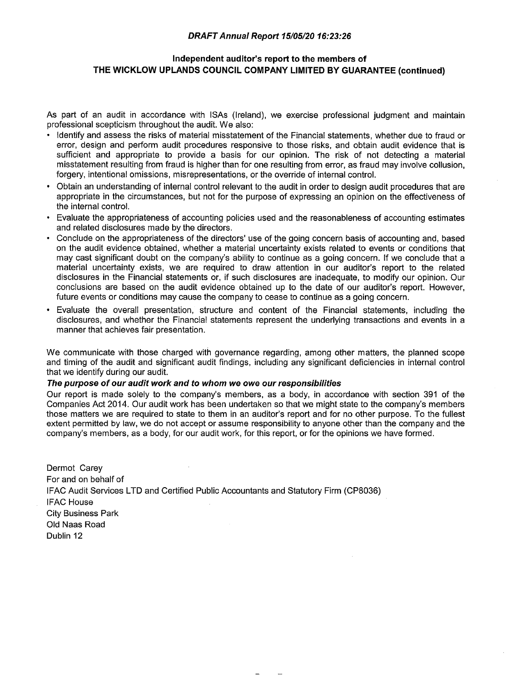### **DRAFT Annual Report 15/05/20 16:23:26**

## **Independent auditor's report to the members of THE WICKLOW UPLANDS COUNCIL COMPANY LIMITED BY GUARANTEE (continued)**

As part of an audit in accordance with ISAs (Ireland}, we exercise professional judgment and maintain professional scepticism throughout the audit. We also:

- Identify and assess the risks of material misstatement of the Financial statements, whether due to fraud or error, design and perform audit procedures responsive to those risks, and obtain audit evidence that is sufficient and appropriate to provide a basis for our opinion. The risk of not detecting a material misstatement resulting from fraud is higher than for one resulting from error, as fraud may involve collusion, forgery, intentional omissions, misrepresentations, or the override of internal control.
- Obtain an understanding of internal control relevant to the audit in order to design audit procedures that are appropriate in the circumstances, but not for the purpose of expressing an opinion on the effectiveness of the internal control.
- Evaluate the appropriateness of accounting policies used and the reasonableness of accounting estimates and related disclosures made by the directors.
- Conclude on the appropriateness of the directors' use of the going concern basis of accounting and, based on the audit evidence obtained, whether a material uncertainty exists related to events or conditions that may cast significant doubt on the company's ability to continue as a going concern. If we conclude that a material uncertainty exists, we are required to draw attention in our auditor's report to the related disclosures in the Financial statements or, if such disclosures are inadequate, to modify our opinion. Our conclusions are based on the audit evidence obtained up to the date of our auditor's report. However, future events or conditions may cause the company to cease to continue as a going concern.
- Evaluate the overall presentation, structure and content of the Financial statements, including the disclosures, and whether the Financial statements represent the underlying transactions and events in a manner that achieves fair presentation.

We communicate with those charged with governance regarding, among other matters, the planned scope and timing of the audit and significant audit findings, including any significant deficiencies in internal control that we identify during our audit.

#### **The purpose of our audit work and to whom we owe our responsibilities**

Our report is made solely to the company's members, as a body, in accordance with section 391 of the Companies Act 2014. Our audit work has been undertaken so that we might state to the company's members those matters we are required to state to them in an auditor's report and for no other purpose. To the fullest extent permitted by law, we do not accept or assume responsibility to anyone other than the company and the company's members, as a body, for our audit work, for this report, or for the opinions we have formed.

Dermot Carey For and on behalf of IFAC Audit Services LTD and Certified Public Accountants and Statutory Firm (CP8036) IFAC House City Business Park Old Naas Road Dublin 12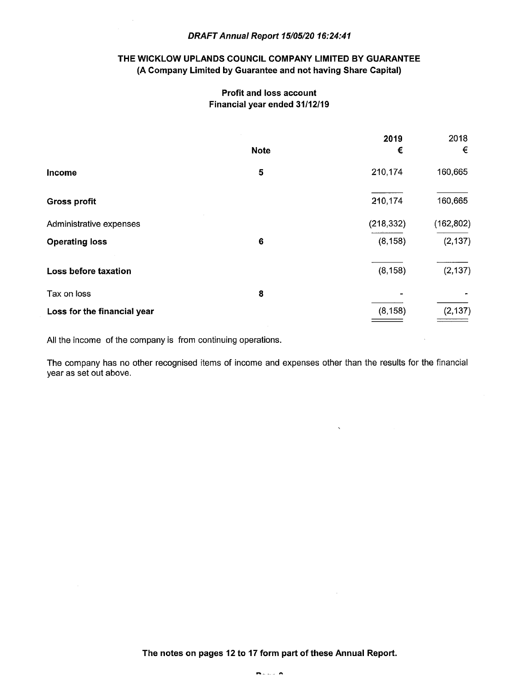### **DRAFT Annual Report 15/05/20 16:24:41**

## **THE WICKLOW UPLANDS COUNCIL COMPANY LIMITED BY GUARANTEE (A Company Limited by Guarantee and not having Share Capital)**

## **Profit and loss account Financial year ended 31/12/19**

|                             | <b>Note</b> | 2019<br>€  | 2018<br>€  |
|-----------------------------|-------------|------------|------------|
| <b>Income</b>               | 5           | 210,174    | 160,665    |
| <b>Gross profit</b>         |             | 210,174    | 160,665    |
| Administrative expenses     |             | (218, 332) | (162, 802) |
| <b>Operating loss</b>       | 6           | (8, 158)   | (2, 137)   |
| Loss before taxation        |             | (8, 158)   | (2, 137)   |
| Tax on loss                 | 8           |            |            |
| Loss for the financial year |             | (8, 158)   | (2, 137)   |

All the income of the company is from continuing operations.

 $\sim$ 

The company has no other recognised items of income and expenses other than the results for the financial year as set out above.

 $\Delta \sim 10^4$ 

 $\sim 30$ 

 $\sim 10^7$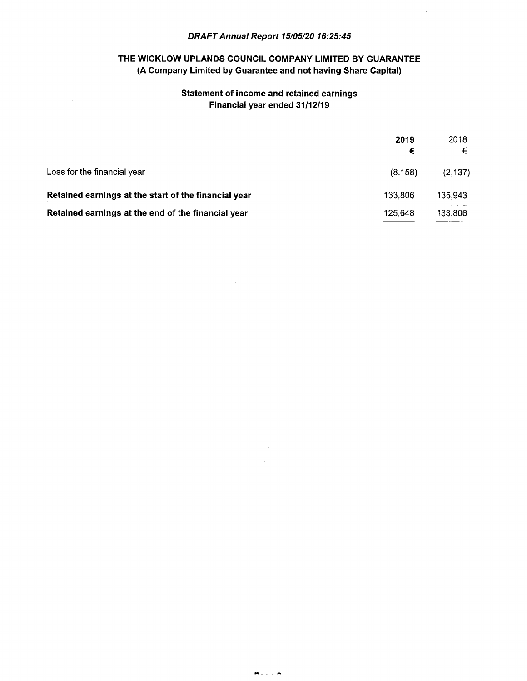### **DRAFT** Annual **Report 15/05/20 16:25:45**

## THE **WICKLOW UPLANDS COUNCIL COMPANY** LIMITED **BY GUARANTEE**  (A Company Limited by Guarantee and not having Share Capital)

## Statement of income and retained earnings Financial year ended 31/12/19

|                                                      | 2019<br>€ | 2018<br>€ |
|------------------------------------------------------|-----------|-----------|
| Loss for the financial year                          | (8, 158)  | (2, 137)  |
| Retained earnings at the start of the financial year | 133,806   | 135,943   |
| Retained earnings at the end of the financial year   | 125,648   | 133,806   |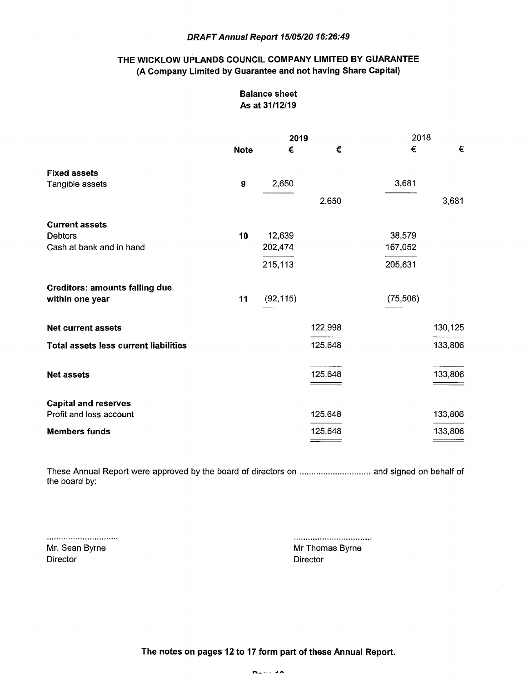### **DRAFT Annual Report 15/05/20 16:26:49**

## **THE WICKLOW UPLANDS COUNCIL COMPANY LIMITED BY GUARANTEE (A Company Limited by Guarantee and not having Share Capital)**

## **Balance sheet As at 31/12/19**

|                                              |                  | 2019      |         | 2018      |         |
|----------------------------------------------|------------------|-----------|---------|-----------|---------|
|                                              | <b>Note</b>      | €         | €       | €         | $\in$   |
| <b>Fixed assets</b>                          |                  |           |         |           |         |
| Tangible assets                              | $\boldsymbol{9}$ | 2,650     |         | 3,681     |         |
|                                              |                  |           | 2,650   |           | 3,681   |
| <b>Current assets</b>                        |                  |           |         |           |         |
| <b>Debtors</b>                               | 10               | 12,639    |         | 38,579    |         |
| Cash at bank and in hand                     |                  | 202,474   |         | 167,052   |         |
|                                              |                  | 215,113   |         | 205,631   |         |
| <b>Creditors: amounts falling due</b>        |                  |           |         |           |         |
| within one year                              | 11               | (92, 115) |         | (75, 506) |         |
| <b>Net current assets</b>                    |                  |           | 122,998 |           | 130,125 |
| <b>Total assets less current liabilities</b> |                  |           | 125,648 |           | 133,806 |
| <b>Net assets</b>                            |                  |           | 125,648 |           | 133,806 |
|                                              |                  |           |         |           |         |
| <b>Capital and reserves</b>                  |                  |           |         |           |         |
| Profit and loss account                      |                  |           | 125,648 |           | 133,806 |
| <b>Members funds</b>                         |                  |           | 125,648 |           | 133,806 |

These Annual Report were approved by the board of directors on .............................. and signed on behalf of the board by:

.............................

Mr. Sean Byrne Director

Mr Thomas Byrne Director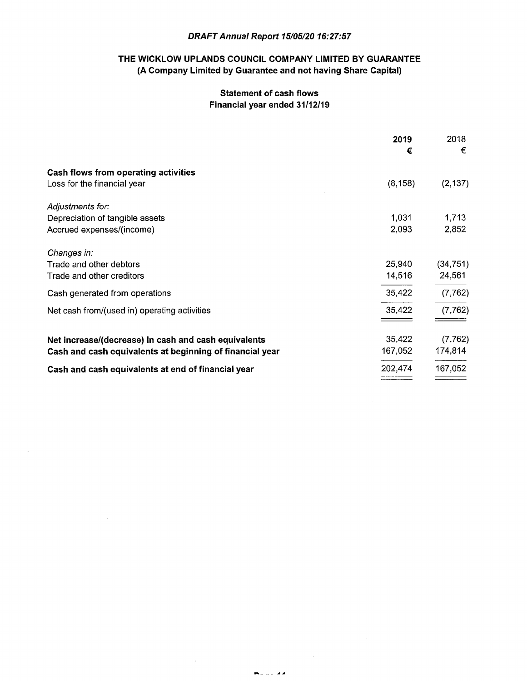### **DRAFT Annual Report 15/05/20 16:27:57**

## **THE WICKLOW UPLANDS COUNCIL COMPANY LIMITED BY GUARANTEE (A Company Limited by Guarantee and not having Share Capital)**

## **Statement of cash flows Financial year ended 31/12/19**

|                                                          | 2019<br>€ | 2018<br>€ |
|----------------------------------------------------------|-----------|-----------|
| Cash flows from operating activities                     |           |           |
| Loss for the financial year                              | (8, 158)  | (2, 137)  |
| Adjustments for:                                         |           |           |
| Depreciation of tangible assets                          | 1,031     | 1,713     |
| Accrued expenses/(income)                                | 2,093     | 2,852     |
| Changes in:                                              |           |           |
| Trade and other debtors                                  | 25,940    | (34, 751) |
| Trade and other creditors                                | 14,516    | 24,561    |
| Cash generated from operations                           | 35,422    | (7, 762)  |
| Net cash from/(used in) operating activities             | 35,422    | (7, 762)  |
| Net increase/(decrease) in cash and cash equivalents     | 35,422    | (7, 762)  |
| Cash and cash equivalents at beginning of financial year | 167,052   | 174,814   |
| Cash and cash equivalents at end of financial year       | 202,474   | 167,052   |
|                                                          |           |           |

 $\ddot{\phantom{a}}$ 

 $\bar{\alpha}$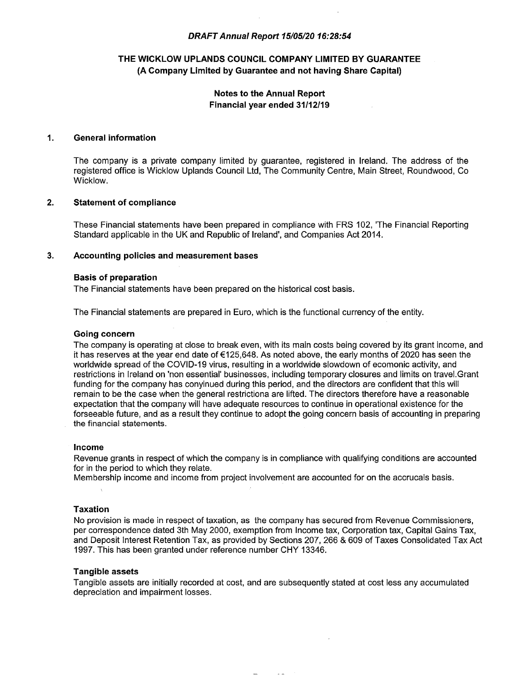#### **DRAFT Annual Report 15/05/20 16:28:54**

### **THE WICKLOW UPLANDS COUNCIL COMPANY LIMITED BY GUARANTEE (A Company Limited by Guarantee and not having Share Capital)**

### **Notes to the Annual Report Financial year ended 31/12/19**

### **1. General information**

The company is a private company limited by guarantee, registered in Ireland. The address of the registered office is Wicklow Uplands Council Ltd, The Community Centre, Main Street, Roundwood, Co Wicklow.

#### **2. Statement of compliance**

These Financial statements have been prepared in compliance with FRS 102, 'The Financial Reporting Standard applicable in the UK and Republic of Ireland', and Companies Act 2014.

#### **3. Accounting policies and measurement bases**

#### **Basis of preparation**

The Financial statements have been prepared on the historical cost basis.

The Financial statements are prepared in Euro, which is the functional currency of the entity.

#### **Going concern**

The company is operating at close to break even, with its main costs being covered by its grant income, and it has reserves at the year end date of €125,648. As noted above, the early months of 2020 has seen the worldwide spread of the COVID-19 virus, resulting in a worldwide slowdown of ecomonic activity, and restrictions in Ireland on 'non essential' businesses, including temporary closures and limits on travel.Grant funding for the company has conyinued during this period, and the directors are confident that this will remain to be the case when the general restrictiona are lifted. The directors therefore have a reasonable expectation that the company will have adequate resources to continue in operational existence for the forseeable future, and as a result they continue to adopt the going concern basis of accounting in preparing the financial statements.

#### **Income**

Revenue grants in respect of which the company is in compliance with qualifying conditions are accounted for in the period to which they relate.

Membership income and income from project involvement are accounted for on the accrucals basis.

#### **Taxation**

No provision is made in respect of taxation, as the company has secured from Revenue Commissioners, per correspondence dated 3th May 2000, exemption from Income tax, Corporation tax, Capital Gains Tax, and Deposit Interest Retention Tax, as provided by Sections 207, 266 & 609 of Taxes Consolidated Tax Act 1997. This has been granted under reference number CHY 13346.

#### **Tangible assets**

Tangible assets are initially recorded at cost, and are subsequently stated at cost less any accumulated depreciation and impairment losses.

 $\ddot{\phantom{1}}$ 

 $\overline{\phantom{0}}$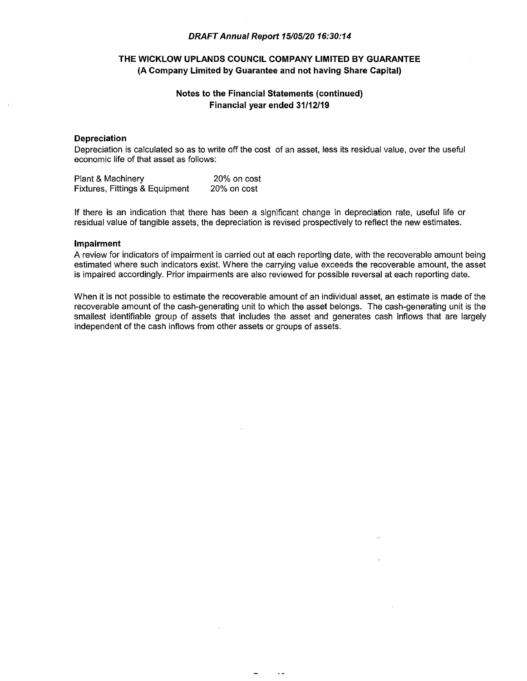#### **DRAFT Annual Report 15/05/20 16:30:14**

### **THE WICKLOW UPLANDS COUNCIL COMPANY LIMITED BY GUARANTEE (A Company Limited by Guarantee and not having Share Capital)**

### **Notes to the Financial Statements (continued) Financial year ended 31/12/19**

#### **Depreciation**

Depreciation is calculated so as to write off the cost of an asset, less its residual value, over the useful economic life of that asset as follows:

Plant & Machinery Fixtures, Fittings & Equipment 20% on cost 20% on cost

If there is an indication that there has been a significant change in depreciation rate, useful life or residual value of tangible assets, the depreciation is revised prospectively to reflect the new estimates.

#### **Impairment**

A review for indicators of impairment is carried out at each reporting date, with the recoverable amount being estimated where such indicators exist. Where the carrying value exceeds the recoverable amount, the asset is impaired accordingly. Prior impairments are also reviewed for possible reversal at each reporting date.

When it is not possible to estimate the recoverable amount of an individual asset, an estimate is made of the recoverable amount of the cash-generating unit to which the asset belongs. The cash-generating unit is the smallest identifiable group of assets that includes the asset and generates cash inflows that are largely independent of the cash inflows from other assets or groups of assets.

 $\overline{a}$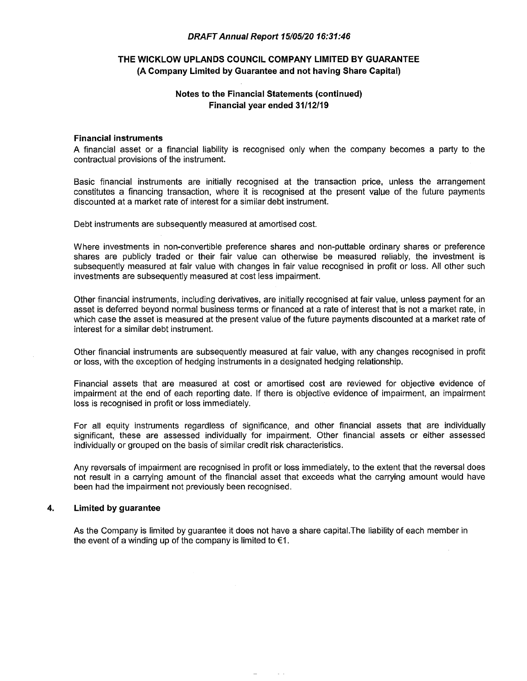#### **DRAFT Annual Report 15/05/20 16:31:46**

### **THE WICKLOW UPLANDS COUNCIL COMPANY LIMITED BY GUARANTEE (A Company Limited by Guarantee and not having Share Capital)**

### **Notes to the Financial Statements (continued) Financial year ended 31/12/19**

#### **Financial instruments**

A financial asset or a financial liability is recognised only when the company becomes a party to the contractual provisions of the instrument.

Basic financial instruments are initially recognised at the transaction price, unless the arrangement constitutes a financing transaction, where it is recognised at the present value of the future payments discounted at a market rate of interest for a similar debt instrument.

Debt instruments are subsequently measured at amortised cost.

Where investments in non-convertible preference shares and non-puttable ordinary shares or preference shares are publicly traded or their fair value can otherwise be measured reliably, the investment is subsequently measured at fair value with changes in fair value recognised in profit or loss. All other such investments are subsequently measured at cost less impairment.

Other financial instruments, including derivatives, are initially recognised at fair value, unless payment for an asset is deferred beyond normal business terms or financed at a rate of interest that is not a market rate, in which case the asset is measured at the present value of the future payments discounted at a market rate of interest for a similar debt instrument.

Other financial instruments are subsequently measured at fair value, with any changes recognised in profit or loss, with the exception of hedging instruments in a designated hedging relationship.

Financial assets that are measured at cost or amortised cost are reviewed for objective evidence of impairment at the end of each reporting date. If there is objective evidence of impairment, an impairment loss is recognised in profit or loss immediately.

For all equity instruments regardless of significance, and other financial assets that are individually significant, these are assessed individually for impairment. Other financial assets or either assessed individually or grouped on the basis of similar credit risk characteristics.

Any reversals of impairment are recognised in profit or loss immediately, to the extent that the reversal does not result in a carrying amount of the financial asset that exceeds what the carrying amount would have been had the impairment not previously been recognised.

#### **4. Limited by guarantee**

As the Company is limited by guarantee it does not have a share capital.The liability of each member in the event of a winding up of the company is limited to  $\epsilon$ 1.

 $\sim$   $-$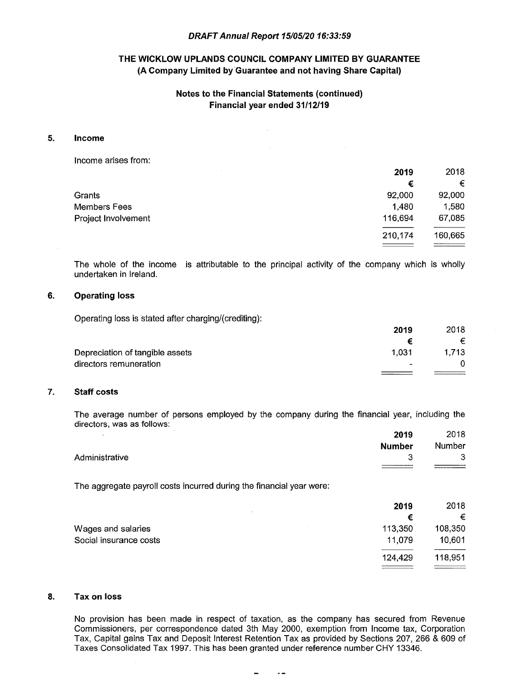#### **DRAFT Annual Report 15/05/20 16:33:59**

## **THE WICKLOW UPLANDS COUNCIL COMPANY LIMITED BY GUARANTEE (A Company Limited by Guarantee and not having Share Capital)**

### **Notes to the Financial Statements (continued) Financial year ended 31/12/19**

 $\bar{\lambda}$ 

#### **5. Income**

Income arises from:

|                     | 2019    | 2018    |
|---------------------|---------|---------|
|                     | €       | €       |
| Grants              | 92,000  | 92,000  |
| Members Fees        | 1,480   | 1,580   |
| Project Involvement | 116,694 | 67,085  |
|                     | 210,174 | 160,665 |
|                     |         |         |

The whole of the income is attributable to the principal activity of the company which is wholly undertaken in Ireland.

#### **6. Operating loss**

Operating loss is stated after charging/(crediting):

|                                 | 2019  | 2018  |
|---------------------------------|-------|-------|
|                                 |       | €     |
| Depreciation of tangible assets | 1.031 | 1.713 |
| directors remuneration          |       |       |
|                                 |       |       |

#### **7. Staff costs**

The average number of persons employed by the company during the financial year, including the directors, was as follows:

|                | 2019   | 2018   |
|----------------|--------|--------|
|                | Number | Number |
| Administrative |        | - 3    |
|                |        |        |

The aggregate payroll costs incurred during the financial year were:

|                        | 2019    | 2018    |
|------------------------|---------|---------|
| $\sim$                 | €       | €       |
| Wages and salaries     | 113,350 | 108,350 |
| Social insurance costs | 11,079  | 10,601  |
|                        | 124,429 | 118,951 |
|                        |         |         |

#### **8. Tax on loss**

No provision has been made in respect of taxation, as the company has secured from Revenue Commissioners, per correspondence dated 3th May 2000, exemption from Income tax, Corporation Tax, Capital gains Tax and Deposit Interest Retention Tax as provided by Sections 207, 266 & 609 of Taxes Consolidated Tax 1997. This has been granted under reference number CHY 13346.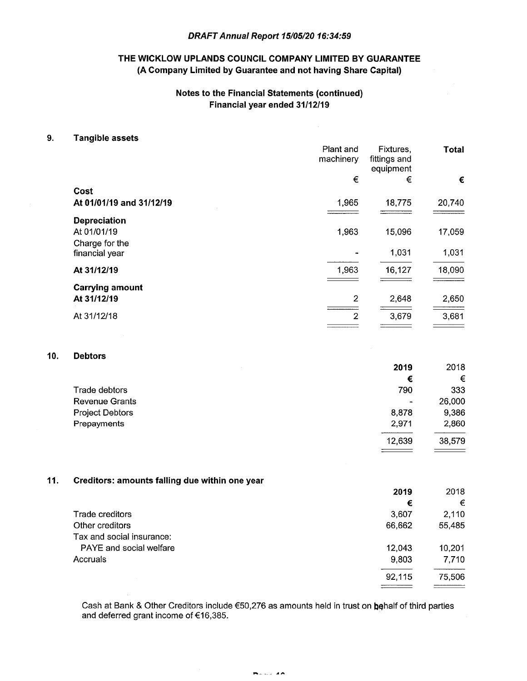### **DRAFT Annual Report 15/05/20 16:34:59**

## **THE WICKLOW UPLANDS COUNCIL COMPANY LIMITED BY GUARANTEE (A Company Limited by Guarantee and not having Share Capital)**

## **Notes to the Financial Statements (continued) Financial year ended 31/12/19**

### **9. Tangible assets**

**10.** 

|                                                      | Plant and<br>machinery | Fixtures,<br>fittings and<br>equipment | <b>Total</b> |
|------------------------------------------------------|------------------------|----------------------------------------|--------------|
|                                                      | €                      | €                                      | €            |
| Cost                                                 |                        |                                        |              |
| At 01/01/19 and 31/12/19                             | 1,965                  | 18,775                                 | 20,740       |
|                                                      |                        |                                        |              |
| <b>Depreciation</b><br>At 01/01/19<br>Charge for the | 1,963                  | 15,096                                 | 17,059       |
| financial year                                       |                        | 1,031                                  | 1,031        |
| At 31/12/19                                          | 1,963                  | 16,127                                 | 18,090       |
| <b>Carrying amount</b>                               |                        |                                        |              |
| At 31/12/19                                          | $\overline{2}$         | 2,648                                  | 2,650        |
| At 31/12/18                                          | $\overline{2}$         | 3,679                                  | 3,681        |
|                                                      |                        |                                        |              |
| <b>Debtors</b>                                       |                        |                                        |              |
|                                                      |                        | 2019                                   | 2018         |
|                                                      |                        | €                                      | €            |
| Trade debtors                                        |                        | 790                                    | 333          |
| <b>Revenue Grants</b>                                |                        |                                        | 26,000       |

| Revenue Grants  | $\overline{\phantom{a}}$ | 26,000 |
|-----------------|--------------------------|--------|
| Project Debtors | 8,878                    | 9,386  |
| Prepayments     | 2.971                    | 2,860  |
|                 | 12,639                   | 38,579 |
|                 |                          |        |

#### **11. Creditors: amounts falling due within one year**

|                           | 2019   | 2018   |
|---------------------------|--------|--------|
|                           | €      | €      |
| Trade creditors           | 3,607  | 2,110  |
| Other creditors           | 66,662 | 55,485 |
| Tax and social insurance: |        |        |
| PAYE and social welfare   | 12,043 | 10,201 |
| Accruals                  | 9,803  | 7,710  |
|                           | 92,115 | 75,506 |
|                           |        |        |

Cash at Bank & Other Creditors include  $€50,276$  as amounts held in trust on behalf of third parties and deferred grant income of €16,385.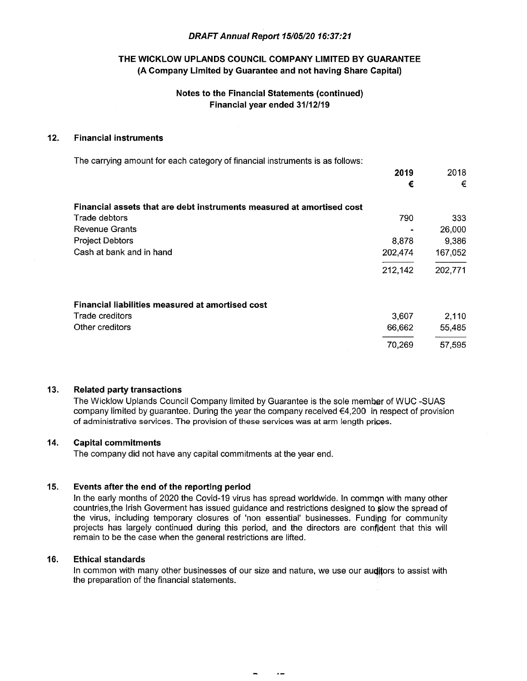### **DRAFT Annual Report 15/05/20 16:37:21**

### **THE WICKLOW UPLANDS COUNCIL COMPANY LIMITED BY GUARANTEE (A Company Limited by Guarantee and not having Share Capital)**

## **Notes to the Financial Statements (continued) Financial year ended 31/12/19**

### **12. Financial instruments**

The carrying amount for each category of financial instruments is as follows:

|                                                                       | 2019    | 2018    |
|-----------------------------------------------------------------------|---------|---------|
|                                                                       | €       | €       |
| Financial assets that are debt instruments measured at amortised cost |         |         |
| Trade debtors                                                         | 790     | 333     |
| <b>Revenue Grants</b>                                                 |         | 26,000  |
| <b>Project Debtors</b>                                                | 8,878   | 9,386   |
| Cash at bank and in hand                                              | 202,474 | 167,052 |
|                                                                       | 212,142 | 202,771 |
| Financial liabilities measured at amortised cost                      |         |         |
| Trade creditors                                                       | 3,607   | 2,110   |
| Other creditors                                                       | 66,662  | 55,485  |
|                                                                       | 70,269  | 57,595  |

#### **13. Related party transactions**

The Wicklow Uplands Council Company limited by Guarantee is the sole member of WUC -SUAS company limited by guarantee. During the year the company received  $\epsilon$ 4,200 in respect of provision of administrative services. The provision of these services was at arm length prices.

#### **14. Capital commitments**

The company did not have any capital commitments at the year end.

### **15. Events after the end of the reporting period**

In the early months of 2020 the Covid-19 virus has spread worldwide. In common with many other countries, the Irish Goverment has issued guidance and restrictions designed to slow the spread of the virus, including temporary closures of 'non essential' businesses. Funding for community projects has largely continued during this period, and the directors are confident that this will remain to be the case when the general restrictions are lifted.

#### **16. Ethical standards**

In common with many other businesses of our size and nature, we use our auditors to assist with the preparation of the financial statements.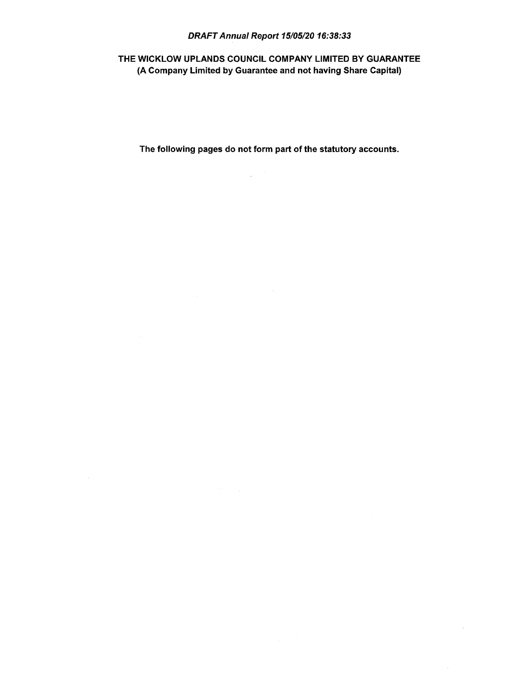## DRAFT Annual Report 15/05/20 16:38:33

## THE WICKLOW UPLANDS COUNCIL COMPANY LIMITED BY GUARANTEE (A Company Limited by Guarantee and not having Share Capital)

The following pages do not form part of the statutory accounts.

 $\mathcal{A}$ 

 $\sim 10^{-1}$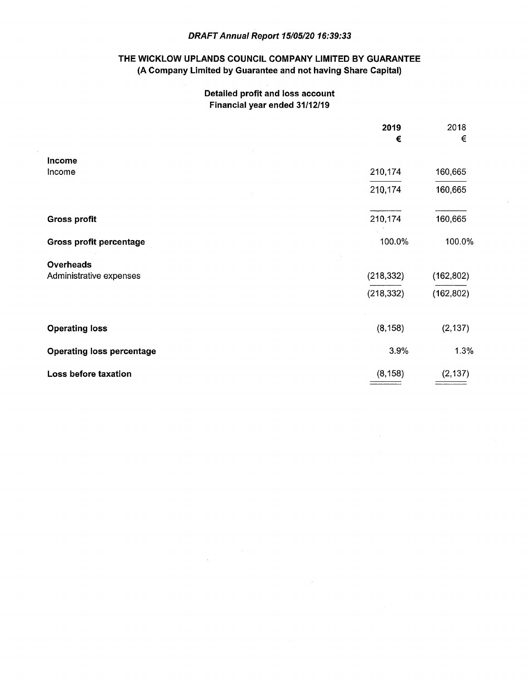### **DRAFT** Annual **Report 15/05/20 16:39:33**

## THE **WICKLOW UPLANDS COUNCIL COMPANY** LIMITED **BY GUARANTEE**  (A Company Limited by Guarantee and not having Share Capital)

## **Detailed profit and loss account Financial year ended 31/12/19**

|                                  | 2019<br>€  | 2018<br>€  |
|----------------------------------|------------|------------|
| Income                           |            |            |
| Income                           | 210,174    | 160,665    |
|                                  | 210,174    | 160,665    |
| <b>Gross profit</b>              | 210,174    | 160,665    |
| Gross profit percentage          | 100.0%     | 100.0%     |
| Overheads                        |            |            |
| Administrative expenses          | (218, 332) | (162, 802) |
|                                  | (218, 332) | (162, 802) |
| <b>Operating loss</b>            | (8, 158)   | (2, 137)   |
| <b>Operating loss percentage</b> | 3.9%       | 1.3%       |
| Loss before taxation             | (8, 158)   | (2, 137)   |

 $\Delta \phi$